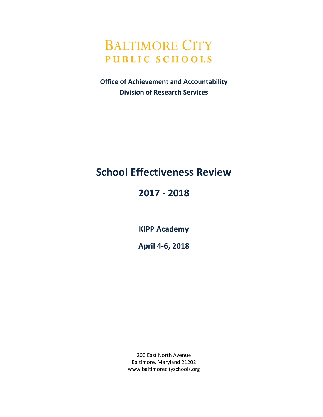

**Office of Achievement and Accountability Division of Research Services**

# **School Effectiveness Review**

# **2017 - 2018**

**KIPP Academy**

**April 4-6, 2018**

200 East North Avenue Baltimore, Maryland 21202 www.baltimorecityschools.org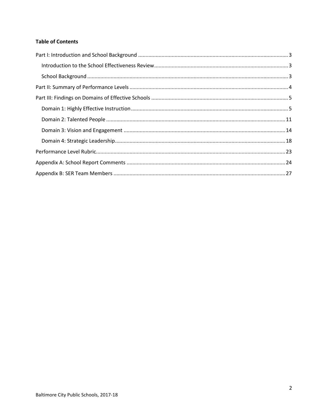### **Table of Contents**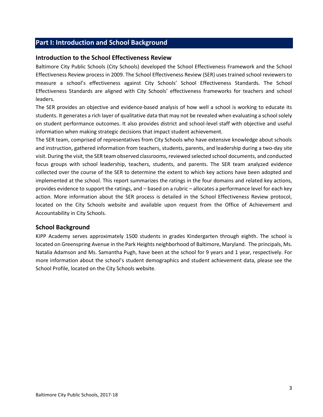## <span id="page-2-0"></span>**Part I: Introduction and School Background**

#### <span id="page-2-1"></span>**Introduction to the School Effectiveness Review**

Baltimore City Public Schools (City Schools) developed the School Effectiveness Framework and the School Effectiveness Review process in 2009. The School Effectiveness Review (SER) uses trained school reviewers to measure a school's effectiveness against City Schools' School Effectiveness Standards. The School Effectiveness Standards are aligned with City Schools' effectiveness frameworks for teachers and school leaders.

The SER provides an objective and evidence-based analysis of how well a school is working to educate its students. It generates a rich layer of qualitative data that may not be revealed when evaluating a school solely on student performance outcomes. It also provides district and school-level staff with objective and useful information when making strategic decisions that impact student achievement.

The SER team, comprised of representatives from City Schools who have extensive knowledge about schools and instruction, gathered information from teachers, students, parents, and leadership during a two-day site visit. During the visit, the SER team observed classrooms, reviewed selected school documents, and conducted focus groups with school leadership, teachers, students, and parents. The SER team analyzed evidence collected over the course of the SER to determine the extent to which key actions have been adopted and implemented at the school. This report summarizes the ratings in the four domains and related key actions, provides evidence to support the ratings, and – based on a rubric – allocates a performance level for each key action. More information about the SER process is detailed in the School Effectiveness Review protocol, located on the City Schools website and available upon request from the Office of Achievement and Accountability in City Schools.

#### <span id="page-2-2"></span>**School Background**

KIPP Academy serves approximately 1500 students in grades Kindergarten through eighth. The school is located on Greenspring Avenue in the Park Heights neighborhood of Baltimore, Maryland. The principals, Ms. Natalia Adamson and Ms. Samantha Pugh, have been at the school for 9 years and 1 year, respectively. For more information about the school's student demographics and student achievement data, please see the School Profile, located on the City Schools website.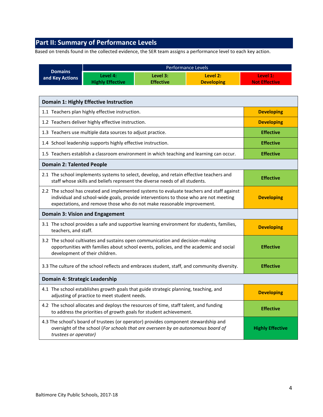# <span id="page-3-0"></span>**Part II: Summary of Performance Levels**

Based on trends found in the collected evidence, the SER team assigns a performance level to each key action.

|                                   | Performance Levels                                                                                                                                                                                        |                              |                                                                                              |                                  |
|-----------------------------------|-----------------------------------------------------------------------------------------------------------------------------------------------------------------------------------------------------------|------------------------------|----------------------------------------------------------------------------------------------|----------------------------------|
| <b>Domains</b><br>and Key Actions | Level 4:<br><b>Highly Effective</b>                                                                                                                                                                       | Level 3:<br><b>Effective</b> | Level 2:<br><b>Developing</b>                                                                | Level 1:<br><b>Not Effective</b> |
|                                   | <b>Domain 1: Highly Effective Instruction</b>                                                                                                                                                             |                              |                                                                                              |                                  |
|                                   | 1.1 Teachers plan highly effective instruction.                                                                                                                                                           |                              |                                                                                              | <b>Developing</b>                |
|                                   | 1.2 Teachers deliver highly effective instruction.                                                                                                                                                        |                              |                                                                                              | <b>Developing</b>                |
|                                   | 1.3 Teachers use multiple data sources to adjust practice.                                                                                                                                                |                              |                                                                                              | <b>Effective</b>                 |
|                                   | 1.4 School leadership supports highly effective instruction.                                                                                                                                              |                              |                                                                                              | <b>Effective</b>                 |
|                                   |                                                                                                                                                                                                           |                              | 1.5 Teachers establish a classroom environment in which teaching and learning can occur.     | <b>Effective</b>                 |
| <b>Domain 2: Talented People</b>  |                                                                                                                                                                                                           |                              |                                                                                              |                                  |
|                                   | 2.1 The school implements systems to select, develop, and retain effective teachers and<br>staff whose skills and beliefs represent the diverse needs of all students.                                    |                              |                                                                                              | <b>Effective</b>                 |
|                                   | individual and school-wide goals, provide interventions to those who are not meeting<br>expectations, and remove those who do not make reasonable improvement.                                            |                              | 2.2 The school has created and implemented systems to evaluate teachers and staff against    | <b>Developing</b>                |
|                                   | <b>Domain 3: Vision and Engagement</b>                                                                                                                                                                    |                              |                                                                                              |                                  |
| teachers, and staff.              |                                                                                                                                                                                                           |                              | 3.1 The school provides a safe and supportive learning environment for students, families,   | <b>Developing</b>                |
|                                   | 3.2 The school cultivates and sustains open communication and decision-making<br>opportunities with families about school events, policies, and the academic and social<br>development of their children. |                              |                                                                                              | <b>Effective</b>                 |
|                                   |                                                                                                                                                                                                           |                              | 3.3 The culture of the school reflects and embraces student, staff, and community diversity. | <b>Effective</b>                 |
| Domain 4: Strategic Leadership    |                                                                                                                                                                                                           |                              |                                                                                              |                                  |
|                                   | 4.1 The school establishes growth goals that guide strategic planning, teaching, and<br>adjusting of practice to meet student needs.                                                                      |                              |                                                                                              | <b>Developing</b>                |
|                                   | 4.2 The school allocates and deploys the resources of time, staff talent, and funding<br>to address the priorities of growth goals for student achievement.                                               |                              |                                                                                              | <b>Effective</b>                 |
| trustees or operator)             | 4.3 The school's board of trustees (or operator) provides component stewardship and<br>oversight of the school (For schools that are overseen by an autonomous board of                                   |                              |                                                                                              | <b>Highly Effective</b>          |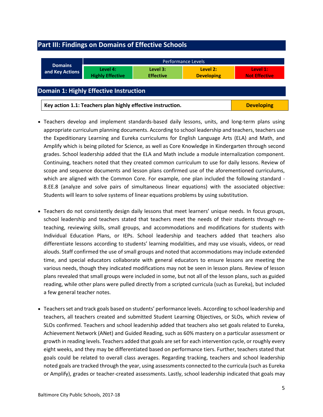## <span id="page-4-0"></span>**Part III: Findings on Domains of Effective Schools**

<span id="page-4-1"></span>

|                                                                                  | Performance Levels                  |                              |                               |                                  |  |
|----------------------------------------------------------------------------------|-------------------------------------|------------------------------|-------------------------------|----------------------------------|--|
| <b>Domains</b><br>and Key Actions                                                | Level 4:<br><b>Highly Effective</b> | Level 3:<br><b>Effective</b> | Level 2:<br><b>Developing</b> | Level 1:<br><b>Not Effective</b> |  |
| Domain 1: Highly Effective Instruction                                           |                                     |                              |                               |                                  |  |
| Key action 1.1: Teachers plan highly effective instruction.<br><b>Developing</b> |                                     |                              |                               |                                  |  |

- Teachers develop and implement standards-based daily lessons, units, and long-term plans using appropriate curriculum planning documents. According to school leadership and teachers, teachers use the Expeditionary Learning and Eureka curriculums for English Language Arts (ELA) and Math, and Amplify which is being piloted for Science, as well as Core Knowledge in Kindergarten through second grades. School leadership added that the ELA and Math include a module internalization component. Continuing, teachers noted that they created common curriculum to use for daily lessons. Review of scope and sequence documents and lesson plans confirmed use of the aforementioned curriculums, which are aligned with the Common Core. For example, one plan included the following standard -8.EE.8 (analyze and solve pairs of simultaneous linear equations) with the associated objective: Students will learn to solve systems of linear equations problems by using substitution.
- Teachers do not consistently design daily lessons that meet learners' unique needs. In focus groups, school leadership and teachers stated that teachers meet the needs of their students through reteaching, reviewing skills, small groups, and accommodations and modifications for students with Individual Education Plans, or IEPs. School leadership and teachers added that teachers also differentiate lessons according to students' learning modalities, and may use visuals, videos, or read alouds. Staff confirmed the use of small groups and noted that accommodations may include extended time, and special educators collaborate with general educators to ensure lessons are meeting the various needs, though they indicated modifications may not be seen in lesson plans. Review of lesson plans revealed that small groups were included in some, but not all of the lesson plans, such as guided reading, while other plans were pulled directly from a scripted curricula (such as Eureka), but included a few general teacher notes.
- Teachers set and track goals based on students' performance levels. According to school leadership and teachers, all teachers created and submitted Student Learning Objectives, or SLOs, which review of SLOs confirmed. Teachers and school leadership added that teachers also set goals related to Eureka, Achievement Network (ANet) and Guided Reading, such as 60% mastery on a particular assessment or growth in reading levels. Teachers added that goals are set for each intervention cycle, or roughly every eight weeks, and they may be differentiated based on performance tiers. Further, teachers stated that goals could be related to overall class averages. Regarding tracking, teachers and school leadership noted goals are tracked through the year, using assessments connected to the curricula (such as Eureka or Amplify), grades or teacher-created assessments. Lastly, school leadership indicated that goals may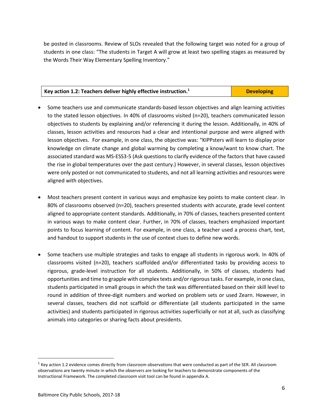be posted in classrooms. Review of SLOs revealed that the following target was noted for a group of students in one class: "The students in Target A will grow at least two spelling stages as measured by the Words Their Way Elementary Spelling Inventory."

#### **Key action 1.2: Teachers deliver highly effective instruction.<sup>1</sup> Developing**

- Some teachers use and communicate standards-based lesson objectives and align learning activities to the stated lesson objectives. In 40% of classrooms visited (n=20), teachers communicated lesson objectives to students by explaining and/or referencing it during the lesson. Additionally, in 40% of classes, lesson activities and resources had a clear and intentional purpose and were aligned with lesson objectives. For example, in one class, the objective was: "KIPPsters will learn to display prior knowledge on climate change and global warming by completing a know/want to know chart. The associated standard was MS-ESS3-5 (Ask questions to clarify evidence of the factors that have caused the rise in global temperatures over the past century.) However, in several classes, lesson objectives were only posted or not communicated to students, and not all learning activities and resources were aligned with objectives.
- Most teachers present content in various ways and emphasize key points to make content clear. In 80% of classrooms observed (n=20), teachers presented students with accurate, grade level content aligned to appropriate content standards. Additionally, in 70% of classes, teachers presented content in various ways to make content clear. Further, in 70% of classes, teachers emphasized important points to focus learning of content. For example, in one class, a teacher used a process chart, text, and handout to support students in the use of context clues to define new words.
- Some teachers use multiple strategies and tasks to engage all students in rigorous work. In 40% of classrooms visited (n=20), teachers scaffolded and/or differentiated tasks by providing access to rigorous, grade-level instruction for all students. Additionally, in 50% of classes, students had opportunities and time to grapple with complex texts and/or rigorous tasks. For example, in one class, students participated in small groups in which the task was differentiated based on their skill level to round in addition of three-digit numbers and worked on problem sets or used Zearn. However, in several classes, teachers did not scaffold or differentiate (all students participated in the same activities) and students participated in rigorous activities superficially or not at all, such as classifying animals into categories or sharing facts about presidents.

 $\overline{a}$ 

 $1$  Key action 1.2 evidence comes directly from classroom observations that were conducted as part of the SER. All classroom observations are twenty minute in which the observers are looking for teachers to demonstrate components of the Instructional Framework. The completed classroom visit tool can be found in appendix A.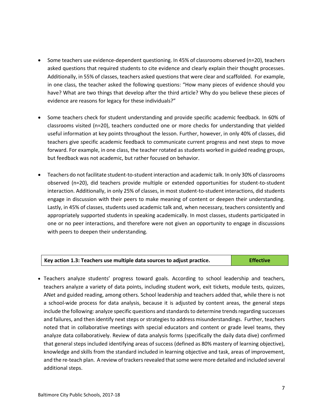- Some teachers use evidence-dependent questioning. In 45% of classrooms observed (n=20), teachers asked questions that required students to cite evidence and clearly explain their thought processes. Additionally, in 55% of classes, teachers asked questions that were clear and scaffolded. For example, in one class, the teacher asked the following questions: "How many pieces of evidence should you have? What are two things that develop after the third article? Why do you believe these pieces of evidence are reasons for legacy for these individuals?"
- Some teachers check for student understanding and provide specific academic feedback. In 60% of classrooms visited (n=20), teachers conducted one or more checks for understanding that yielded useful information at key points throughout the lesson. Further, however, in only 40% of classes, did teachers give specific academic feedback to communicate current progress and next steps to move forward. For example, in one class, the teacher rotated as students worked in guided reading groups, but feedback was not academic, but rather focused on behavior.
- Teachers do not facilitate student-to-student interaction and academic talk. In only 30% of classrooms observed (n=20), did teachers provide multiple or extended opportunities for student-to-student interaction. Additionally, in only 25% of classes, in most student-to-student interactions, did students engage in discussion with their peers to make meaning of content or deepen their understanding. Lastly, in 45% of classes, students used academic talk and, when necessary, teachers consistently and appropriately supported students in speaking academically. In most classes, students participated in one or no peer interactions, and therefore were not given an opportunity to engage in discussions with peers to deepen their understanding.

| Key action 1.3: Teachers use multiple data sources to adjust practice. | <b>Effective</b> |
|------------------------------------------------------------------------|------------------|
|                                                                        |                  |

 Teachers analyze students' progress toward goals. According to school leadership and teachers, teachers analyze a variety of data points, including student work, exit tickets, module tests, quizzes, ANet and guided reading, among others. School leadership and teachers added that, while there is not a school-wide process for data analysis, because it is adjusted by content areas, the general steps include the following: analyze specific questions and standards to determine trends regarding successes and failures, and then identify next steps or strategies to address misunderstandings. Further, teachers noted that in collaborative meetings with special educators and content or grade level teams, they analyze data collaboratively. Review of data analysis forms (specifically the daily data dive) confirmed that general steps included identifying areas of success (defined as 80% mastery of learning objective), knowledge and skills from the standard included in learning objective and task, areas of improvement, and the re-teach plan. A review of trackers revealed that some were more detailed and included several additional steps.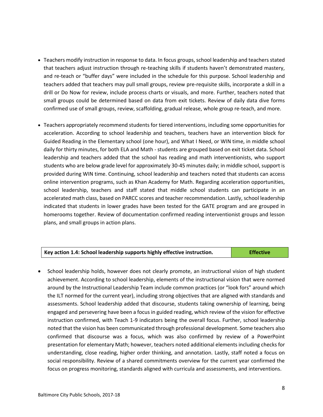- Teachers modify instruction in response to data. In focus groups, school leadership and teachers stated that teachers adjust instruction through re-teaching skills if students haven't demonstrated mastery, and re-teach or "buffer days" were included in the schedule for this purpose. School leadership and teachers added that teachers may pull small groups, review pre-requisite skills, incorporate a skill in a drill or Do Now for review, include process charts or visuals, and more. Further, teachers noted that small groups could be determined based on data from exit tickets. Review of daily data dive forms confirmed use of small groups, review, scaffolding, gradual release, whole group re-teach, and more.
- Teachers appropriately recommend students for tiered interventions, including some opportunities for acceleration. According to school leadership and teachers, teachers have an intervention block for Guided Reading in the Elementary school (one hour), and What I Need, or WIN time, in middle school daily for thirty minutes, for both ELA and Math - students are grouped based on exit ticket data. School leadership and teachers added that the school has reading and math interventionists, who support students who are below grade level for approximately 30-45 minutes daily; in middle school, support is provided during WIN time. Continuing, school leadership and teachers noted that students can access online intervention programs, such as Khan Academy for Math. Regarding acceleration opportunities, school leadership, teachers and staff stated that middle school students can participate in an accelerated math class, based on PARCC scores and teacher recommendation. Lastly, school leadership indicated that students in lower grades have been tested for the GATE program and are grouped in homerooms together. Review of documentation confirmed reading interventionist groups and lesson plans, and small groups in action plans.

| Key action 1.4: School leadership supports highly effective instruction. | <b>Effective</b> |
|--------------------------------------------------------------------------|------------------|
|                                                                          |                  |

• School leadership holds, however does not clearly promote, an instructional vision of high student achievement. According to school leadership, elements of the instructional vision that were normed around by the Instructional Leadership Team include common practices (or "look fors" around which the ILT normed for the current year), including strong objectives that are aligned with standards and assessments. School leadership added that discourse, students taking ownership of learning, being engaged and persevering have been a focus in guided reading, which review of the vision for effective instruction confirmed, with Teach 1-9 indicators being the overall focus. Further, school leadership noted that the vision has been communicated through professional development. Some teachers also confirmed that discourse was a focus, which was also confirmed by review of a PowerPoint presentation for elementary Math; however, teachers noted additional elements including checks for understanding, close reading, higher order thinking, and annotation. Lastly, staff noted a focus on social responsibility. Review of a shared commitments overview for the current year confirmed the focus on progress monitoring, standards aligned with curricula and assessments, and interventions.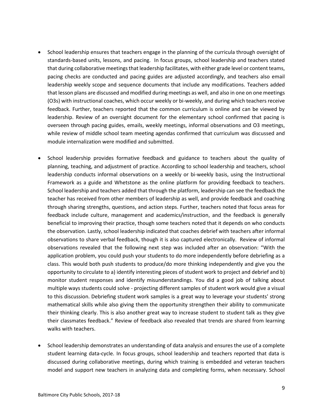- School leadership ensures that teachers engage in the planning of the curricula through oversight of standards-based units, lessons, and pacing. In focus groups, school leadership and teachers stated that during collaborative meetings that leadership facilitates, with either grade level or content teams, pacing checks are conducted and pacing guides are adjusted accordingly, and teachers also email leadership weekly scope and sequence documents that include any modifications. Teachers added that lesson plans are discussed and modified during meetings as well, and also in one on one meetings (O3s) with instructional coaches, which occur weekly or bi-weekly, and during which teachers receive feedback. Further, teachers reported that the common curriculum is online and can be viewed by leadership. Review of an oversight document for the elementary school confirmed that pacing is overseen through pacing guides, emails, weekly meetings, informal observations and O3 meetings, while review of middle school team meeting agendas confirmed that curriculum was discussed and module internalization were modified and submitted.
- School leadership provides formative feedback and guidance to teachers about the quality of planning, teaching, and adjustment of practice. According to school leadership and teachers, school leadership conducts informal observations on a weekly or bi-weekly basis, using the Instructional Framework as a guide and Whetstone as the online platform for providing feedback to teachers. School leadership and teachers added that through the platform, leadership can see the feedback the teacher has received from other members of leadership as well, and provide feedback and coaching through sharing strengths, questions, and action steps. Further, teachers noted that focus areas for feedback include culture, management and academics/instruction, and the feedback is generally beneficial to improving their practice, though some teachers noted that it depends on who conducts the observation. Lastly, school leadership indicated that coaches debrief with teachers after informal observations to share verbal feedback, though it is also captured electronically. Review of informal observations revealed that the following next step was included after an observation: "With the application problem, you could push your students to do more independently before debriefing as a class. This would both push students to produce/do more thinking independently and give you the opportunity to circulate to a) identify interesting pieces of student work to project and debrief and b) monitor student responses and identify misunderstandings. You did a good job of talking about multiple ways students could solve - projecting different samples of student work would give a visual to this discussion. Debriefing student work samples is a great way to leverage your students' strong mathematical skills while also giving them the opportunity strengthen their ability to communicate their thinking clearly. This is also another great way to increase student to student talk as they give their classmates feedback." Review of feedback also revealed that trends are shared from learning walks with teachers.
- School leadership demonstrates an understanding of data analysis and ensures the use of a complete student learning data-cycle. In focus groups, school leadership and teachers reported that data is discussed during collaborative meetings, during which training is embedded and veteran teachers model and support new teachers in analyzing data and completing forms, when necessary. School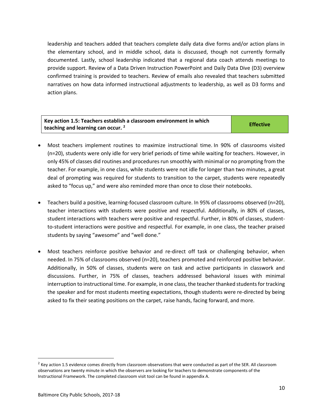leadership and teachers added that teachers complete daily data dive forms and/or action plans in the elementary school, and in middle school, data is discussed, though not currently formally documented. Lastly, school leadership indicated that a regional data coach attends meetings to provide support. Review of a Data Driven Instruction PowerPoint and Daily Data Dive (D3) overview confirmed training is provided to teachers. Review of emails also revealed that teachers submitted narratives on how data informed instructional adjustments to leadership, as well as D3 forms and action plans.

| Key action 1.5: Teachers establish a classroom environment in which | <b>Effective</b> |
|---------------------------------------------------------------------|------------------|
| teaching and learning can occur. $2^{\circ}$                        |                  |

- Most teachers implement routines to maximize instructional time. In 90% of classrooms visited (n=20), students were only idle for very brief periods of time while waiting for teachers. However, in only 45% of classes did routines and procedures run smoothly with minimal or no prompting from the teacher. For example, in one class, while students were not idle for longer than two minutes, a great deal of prompting was required for students to transition to the carpet, students were repeatedly asked to "focus up," and were also reminded more than once to close their notebooks.
- Teachers build a positive, learning-focused classroom culture. In 95% of classrooms observed (n=20), teacher interactions with students were positive and respectful. Additionally, in 80% of classes, student interactions with teachers were positive and respectful. Further, in 80% of classes, studentto-student interactions were positive and respectful. For example, in one class, the teacher praised students by saying "awesome" and "well done."
- Most teachers reinforce positive behavior and re-direct off task or challenging behavior, when needed. In 75% of classrooms observed (n=20), teachers promoted and reinforced positive behavior. Additionally, in 50% of classes, students were on task and active participants in classwork and discussions. Further, in 75% of classes, teachers addressed behavioral issues with minimal interruption to instructional time. For example, in one class, the teacher thanked students for tracking the speaker and for most students meeting expectations, though students were re-directed by being asked to fix their seating positions on the carpet, raise hands, facing forward, and more.

 $\overline{a}$ 

<sup>&</sup>lt;sup>2</sup> Key action 1.5 evidence comes directly from classroom observations that were conducted as part of the SER. All classroom observations are twenty minute in which the observers are looking for teachers to demonstrate components of the Instructional Framework. The completed classroom visit tool can be found in appendix A.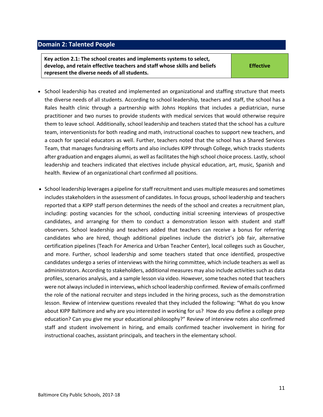#### <span id="page-10-0"></span>**Domain 2: Talented People**

**Key action 2.1: The school creates and implements systems to select, develop, and retain effective teachers and staff whose skills and beliefs represent the diverse needs of all students.**

**Effective**

- School leadership has created and implemented an organizational and staffing structure that meets the diverse needs of all students. According to school leadership, teachers and staff, the school has a Rales health clinic through a partnership with Johns Hopkins that includes a pediatrician, nurse practitioner and two nurses to provide students with medical services that would otherwise require them to leave school. Additionally, school leadership and teachers stated that the school has a culture team, interventionists for both reading and math, instructional coaches to support new teachers, and a coach for special educators as well. Further, teachers noted that the school has a Shared Services Team, that manages fundraising efforts and also includes KIPP through College, which tracks students after graduation and engages alumni, as well as facilitates the high school choice process. Lastly, school leadership and teachers indicated that electives include physical education, art, music, Spanish and health. Review of an organizational chart confirmed all positions.
- School leadership leverages a pipeline for staff recruitment and uses multiple measures and sometimes includes stakeholders in the assessment of candidates. In focus groups, school leadership and teachers reported that a KIPP staff person determines the needs of the school and creates a recruitment plan, including: posting vacancies for the school, conducting initial screening interviews of prospective candidates, and arranging for them to conduct a demonstration lesson with student and staff observers. School leadership and teachers added that teachers can receive a bonus for referring candidates who are hired, though additional pipelines include the district's job fair, alternative certification pipelines (Teach For America and Urban Teacher Center), local colleges such as Goucher, and more. Further, school leadership and some teachers stated that once identified, prospective candidates undergo a series of interviews with the hiring committee, which include teachers as well as administrators. According to stakeholders, additional measures may also include activities such as data profiles, scenarios analysis, and a sample lesson via video. However, some teaches noted that teachers were not always included in interviews, which school leadership confirmed. Review of emails confirmed the role of the national recruiter and steps included in the hiring process, such as the demonstration lesson. Review of interview questions revealed that they included the following: "What do you know about KIPP Baltimore and why are you interested in working for us? How do you define a college prep education? Can you give me your educational philosophy?" Review of interview notes also confirmed staff and student involvement in hiring, and emails confirmed teacher involvement in hiring for instructional coaches, assistant principals, and teachers in the elementary school.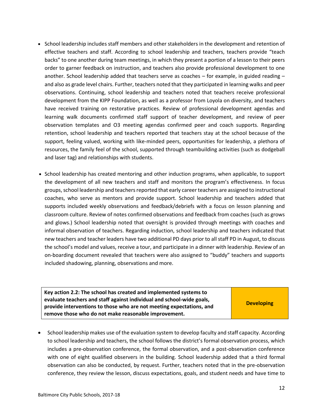- School leadership includes staff members and other stakeholders in the development and retention of effective teachers and staff. According to school leadership and teachers, teachers provide "teach backs" to one another during team meetings, in which they present a portion of a lesson to their peers order to garner feedback on instruction, and teachers also provide professional development to one another. School leadership added that teachers serve as coaches – for example, in guided reading – and also as grade level chairs. Further, teachers noted that they participated in learning walks and peer observations. Continuing, school leadership and teachers noted that teachers receive professional development from the KIPP Foundation, as well as a professor from Loyola on diversity, and teachers have received training on restorative practices. Review of professional development agendas and learning walk documents confirmed staff support of teacher development, and review of peer observation templates and O3 meeting agendas confirmed peer and coach supports. Regarding retention, school leadership and teachers reported that teachers stay at the school because of the support, feeling valued, working with like-minded peers, opportunities for leadership, a plethora of resources, the family feel of the school, supported through teambuilding activities (such as dodgeball and laser tag) and relationships with students.
- School leadership has created mentoring and other induction programs, when applicable, to support the development of all new teachers and staff and monitors the program's effectiveness. In focus groups, school leadership and teachers reported that early career teachers are assigned to instructional coaches, who serve as mentors and provide support. School leadership and teachers added that supports included weekly observations and feedback/debriefs with a focus on lesson planning and classroom culture. Review of notes confirmed observations and feedback from coaches (such as grows and glows.) School leadership noted that oversight is provided through meetings with coaches and informal observation of teachers. Regarding induction, school leadership and teachers indicated that new teachers and teacher leaders have two additional PD days prior to all staff PD in August, to discuss the school's model and values, receive a tour, and participate in a dinner with leadership. Review of an on-boarding document revealed that teachers were also assigned to "buddy" teachers and supports included shadowing, planning, observations and more.

| Key action 2.2: The school has created and implemented systems to<br>evaluate teachers and staff against individual and school-wide goals, |                   |
|--------------------------------------------------------------------------------------------------------------------------------------------|-------------------|
| provide interventions to those who are not meeting expectations, and                                                                       | <b>Developing</b> |
| remove those who do not make reasonable improvement.                                                                                       |                   |

• School leadership makes use of the evaluation system to develop faculty and staff capacity. According to school leadership and teachers, the school follows the district's formal observation process, which includes a pre-observation conference, the formal observation, and a post-observation conference with one of eight qualified observers in the building. School leadership added that a third formal observation can also be conducted, by request. Further, teachers noted that in the pre-observation conference, they review the lesson, discuss expectations, goals, and student needs and have time to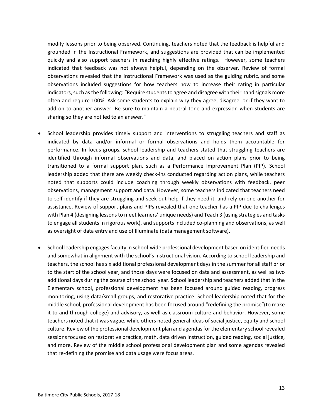modify lessons prior to being observed. Continuing, teachers noted that the feedback is helpful and grounded in the Instructional Framework, and suggestions are provided that can be implemented quickly and also support teachers in reaching highly effective ratings. However, some teachers indicated that feedback was not always helpful, depending on the observer. Review of formal observations revealed that the Instructional Framework was used as the guiding rubric, and some observations included suggestions for how teachers how to increase their rating in particular indicators, such as the following: "Require students to agree and disagree with their hand signals more often and require 100%. Ask some students to explain why they agree, disagree, or if they want to add on to another answer. Be sure to maintain a neutral tone and expression when students are sharing so they are not led to an answer."

- School leadership provides timely support and interventions to struggling teachers and staff as indicated by data and/or informal or formal observations and holds them accountable for performance. In focus groups, school leadership and teachers stated that struggling teachers are identified through informal observations and data, and placed on action plans prior to being transitioned to a formal support plan, such as a Performance Improvement Plan (PIP). School leadership added that there are weekly check-ins conducted regarding action plans, while teachers noted that supports could include coaching through weekly observations with feedback, peer observations, management support and data. However, some teachers indicated that teachers need to self-identify if they are struggling and seek out help if they need it, and rely on one another for assistance. Review of support plans and PIPs revealed that one teacher has a PIP due to challenges with Plan 4 (designing lessons to meet learners' unique needs) and Teach 3 (using strategies and tasks to engage all students in rigorous work), and supports included co-planning and observations, as well as oversight of data entry and use of Illuminate (data management software).
- School leadership engages faculty in school-wide professional development based on identified needs and somewhat in alignment with the school's instructional vision. According to school leadership and teachers, the school has six additional professional development days in the summer for all staff prior to the start of the school year, and those days were focused on data and assessment, as well as two additional days during the course of the school year. School leadership and teachers added that in the Elementary school, professional development has been focused around guided reading, progress monitoring, using data/small groups, and restorative practice. School leadership noted that for the middle school, professional development has been focused around "redefining the promise"(to make it to and through college) and advisory, as well as classroom culture and behavior. However, some teachers noted that it was vague, while others noted general ideas of social justice, equity and school culture. Review of the professional development plan and agendas for the elementary school revealed sessions focused on restorative practice, math, data driven instruction, guided reading, social justice, and more. Review of the middle school professional development plan and some agendas revealed that re-defining the promise and data usage were focus areas.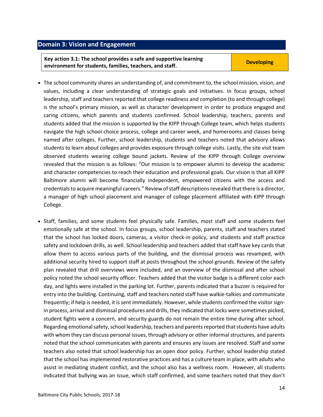### <span id="page-13-0"></span>**Domain 3: Vision and Engagement**

**Key action 3.1: The school provides a safe and supportive learning example in the state of provides a safe and supportive rearring to the Developing**<br> **environment for students, families, teachers, and staff.** 

- The school community shares an understanding of, and commitment to, the school mission, vision, and values, including a clear understanding of strategic goals and initiatives. In focus groups, school leadership, staff and teachers reported that college readiness and completion (to and through college) is the school's primary mission, as well as character development in order to produce engaged and caring citizens, which parents and students confirmed. School leadership, teachers, parents and students added that the mission is supported by the KIPP through College team, which helps students navigate the high school choice process, college and career week, and homerooms and classes being named after colleges. Further, school leadership, students and teachers noted that advisory allows students to learn about colleges and provides exposure through college visits. Lastly, the site visit team observed students wearing college bound jackets. Review of the KIPP through College overview revealed that the mission is as follows: "Our mission is to empower alumni to develop the academic and character competencies to reach their education and professional goals. Our vision is that all KIPP Baltimore alumni will become financially independent, empowered citizens with the access and credentials to acquire meaningful careers." Review of staff descriptions revealed that there is a director, a manager of high school placement and manager of college placement affiliated with KIPP through College.
- Staff, families, and some students feel physically safe. Families, most staff and some students feel emotionally safe at the school. In focus groups, school leadership, parents, staff and teachers stated that the school has locked doors, cameras, a visitor check-in policy, and students and staff practice safety and lockdown drills, as well. School leadership and teachers added that staff have key cards that allow them to access various parts of the building, and the dismissal process was revamped, with additional security hired to support staff at posts throughout the school grounds. Review of the safety plan revealed that drill overviews were included, and an overview of the dismissal and after school policy noted the school security officer. Teachers added that the visitor badge is a different color each day, and lights were installed in the parking lot. Further, parents indicated that a buzzer is required for entry into the building. Continuing, staff and teachers noted staff have walkie-talkies and communicate frequently; if help is needed, it is sent immediately. However, while students confirmed the visitor signin process, arrival and dismissal procedures and drills, they indicated that locks were sometimes picked, student fights were a concern, and security guards do not remain the entire time during after school. Regarding emotional safety, school leadership, teachers and parents reported that students have adults with whom they can discuss personal issues, through advisory or other informal structures, and parents noted that the school communicates with parents and ensures any issues are resolved. Staff and some teachers also noted that school leadership has an open door policy. Further, school leadership stated that the school has implemented restorative practices and has a culture team in place, with adults who assist in mediating student conflict, and the school also has a wellness room. However, all students indicated that bullying was an issue, which staff confirmed, and some teachers noted that they don't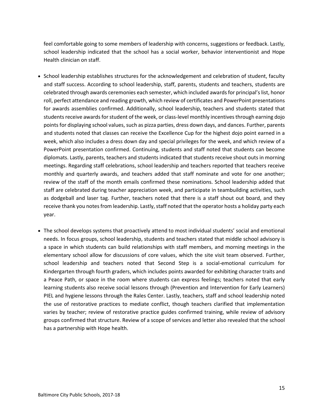feel comfortable going to some members of leadership with concerns, suggestions or feedback. Lastly, school leadership indicated that the school has a social worker, behavior interventionist and Hope Health clinician on staff.

- School leadership establishes structures for the acknowledgement and celebration of student, faculty and staff success. According to school leadership, staff, parents, students and teachers, students are celebrated through awards ceremonies each semester, which included awards for principal's list, honor roll, perfect attendance and reading growth, which review of certificates and PowerPoint presentations for awards assemblies confirmed. Additionally, school leadership, teachers and students stated that students receive awards for student of the week, or class-level monthly incentives through earning dojo points for displaying school values, such as pizza parties, dress down days, and dances. Further, parents and students noted that classes can receive the Excellence Cup for the highest dojo point earned in a week, which also includes a dress down day and special privileges for the week, and which review of a PowerPoint presentation confirmed. Continuing, students and staff noted that students can become diplomats. Lastly, parents, teachers and students indicated that students receive shout outs in morning meetings. Regarding staff celebrations, school leadership and teachers reported that teachers receive monthly and quarterly awards, and teachers added that staff nominate and vote for one another; review of the staff of the month emails confirmed these nominations. School leadership added that staff are celebrated during teacher appreciation week, and participate in teambuilding activities, such as dodgeball and laser tag. Further, teachers noted that there is a staff shout out board, and they receive thank you notes from leadership. Lastly, staff noted that the operator hosts a holiday party each year.
- The school develops systems that proactively attend to most individual students' social and emotional needs. In focus groups, school leadership, students and teachers stated that middle school advisory is a space in which students can build relationships with staff members, and morning meetings in the elementary school allow for discussions of core values, which the site visit team observed. Further, school leadership and teachers noted that Second Step is a social-emotional curriculum for Kindergarten through fourth graders, which includes points awarded for exhibiting character traits and a Peace Path, or space in the room where students can express feelings; teachers noted that early learning students also receive social lessons through (Prevention and Intervention for Early Learners) PIEL and hygiene lessons through the Rales Center. Lastly, teachers, staff and school leadership noted the use of restorative practices to mediate conflict, though teachers clarified that implementation varies by teacher; review of restorative practice guides confirmed training, while review of advisory groups confirmed that structure. Review of a scope of services and letter also revealed that the school has a partnership with Hope health.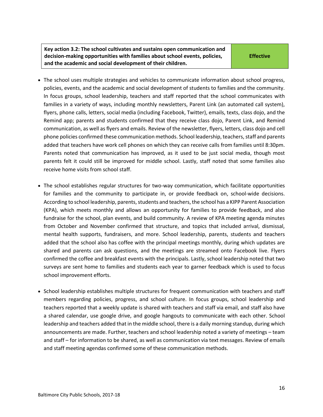**Key action 3.2: The school cultivates and sustains open communication and decision-making opportunities with families about school events, policies, and the academic and social development of their children.**

**Effective**

- The school uses multiple strategies and vehicles to communicate information about school progress, policies, events, and the academic and social development of students to families and the community. In focus groups, school leadership, teachers and staff reported that the school communicates with families in a variety of ways, including monthly newsletters, Parent Link (an automated call system), flyers, phone calls, letters, social media (including Facebook, Twitter), emails, texts, class dojo, and the Remind app; parents and students confirmed that they receive class dojo, Parent Link, and Remind communication, as well as flyers and emails. Review of the newsletter, flyers, letters, class dojo and cell phone policies confirmed these communication methods. School leadership, teachers, staff and parents added that teachers have work cell phones on which they can receive calls from families until 8:30pm. Parents noted that communication has improved, as it used to be just social media, though most parents felt it could still be improved for middle school. Lastly, staff noted that some families also receive home visits from school staff.
- The school establishes regular structures for two-way communication, which facilitate opportunities for families and the community to participate in, or provide feedback on, school-wide decisions. According to school leadership, parents, students and teachers, the school has a KIPP Parent Association (KPA), which meets monthly and allows an opportunity for families to provide feedback, and also fundraise for the school, plan events, and build community. A review of KPA meeting agenda minutes from October and November confirmed that structure, and topics that included arrival, dismissal, mental health supports, fundraisers, and more. School leadership, parents, students and teachers added that the school also has coffee with the principal meetings monthly, during which updates are shared and parents can ask questions, and the meetings are streamed onto Facebook live. Flyers confirmed the coffee and breakfast events with the principals. Lastly, school leadership noted that two surveys are sent home to families and students each year to garner feedback which is used to focus school improvement efforts.
- School leadership establishes multiple structures for frequent communication with teachers and staff members regarding policies, progress, and school culture. In focus groups, school leadership and teachers reported that a weekly update is shared with teachers and staff via email, and staff also have a shared calendar, use google drive, and google hangouts to communicate with each other. School leadership and teachers added that in the middle school, there is a daily morning standup, during which announcements are made. Further, teachers and school leadership noted a variety of meetings – team and staff – for information to be shared, as well as communication via text messages. Review of emails and staff meeting agendas confirmed some of these communication methods.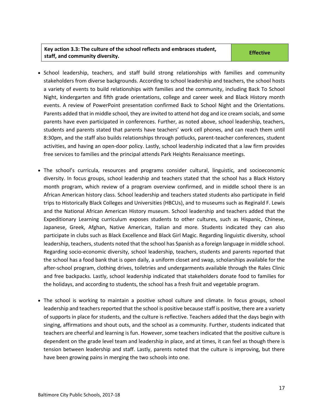#### **Key action 3.3: The culture of the school reflects and embraces student, staff, and community diversity. Effective**

- School leadership, teachers, and staff build strong relationships with families and community stakeholders from diverse backgrounds. According to school leadership and teachers, the school hosts a variety of events to build relationships with families and the community, including Back To School Night, kindergarten and fifth grade orientations, college and career week and Black History month events. A review of PowerPoint presentation confirmed Back to School Night and the Orientations. Parents added that in middle school, they are invited to attend hot dog and ice cream socials, and some parents have even participated in conferences. Further, as noted above, school leadership, teachers, students and parents stated that parents have teachers' work cell phones, and can reach them until 8:30pm, and the staff also builds relationships through potlucks, parent-teacher conferences, student activities, and having an open-door policy. Lastly, school leadership indicated that a law firm provides free services to families and the principal attends Park Heights Renaissance meetings.
- The school's curricula, resources and programs consider cultural, linguistic, and socioeconomic diversity. In focus groups, school leadership and teachers stated that the school has a Black History month program, which review of a program overview confirmed, and in middle school there is an African American history class. School leadership and teachers stated students also participate in field trips to Historically Black Colleges and Universities (HBCUs), and to museums such as Reginald F. Lewis and the National African American History museum. School leadership and teachers added that the Expeditionary Learning curriculum exposes students to other cultures, such as Hispanic, Chinese, Japanese, Greek, Afghan, Native American, Italian and more. Students indicated they can also participate in clubs such as Black Excellence and Black Girl Magic. Regarding linguistic diversity, school leadership, teachers, students noted that the school has Spanish as a foreign language in middle school. Regarding socio-economic diversity, school leadership, teachers, students and parents reported that the school has a food bank that is open daily, a uniform closet and swap, scholarships available for the after-school program, clothing drives, toiletries and undergarments available through the Rales Clinic and free backpacks. Lastly, school leadership indicated that stakeholders donate food to families for the holidays, and according to students, the school has a fresh fruit and vegetable program.
- <span id="page-16-0"></span> The school is working to maintain a positive school culture and climate. In focus groups, school leadership and teachers reported that the school is positive because staff is positive, there are a variety of supports in place for students, and the culture is reflective. Teachers added that the days begin with singing, affirmations and shout outs, and the school as a community. Further, students indicated that teachers are cheerful and learning is fun. However, some teachers indicated that the positive culture is dependent on the grade level team and leadership in place, and at times, it can feel as though there is tension between leadership and staff. Lastly, parents noted that the culture is improving, but there have been growing pains in merging the two schools into one.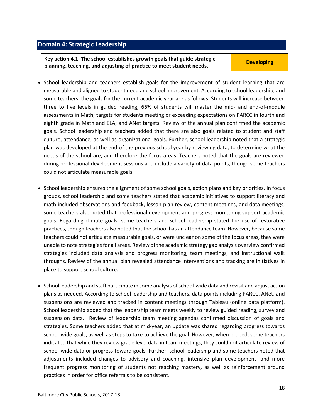#### **Domain 4: Strategic Leadership**

**Key action 4.1: The school establishes growth goals that guide strategic planning, teaching, and adjusting of practice to meet student needs. Developing** 

- School leadership and teachers establish goals for the improvement of student learning that are measurable and aligned to student need and school improvement. According to school leadership, and some teachers, the goals for the current academic year are as follows: Students will increase between three to five levels in guided reading; 66% of students will master the mid- and end-of-module assessments in Math; targets for students meeting or exceeding expectations on PARCC in fourth and eighth grade in Math and ELA; and ANet targets. Review of the annual plan confirmed the academic goals. School leadership and teachers added that there are also goals related to student and staff culture, attendance, as well as organizational goals. Further, school leadership noted that a strategic plan was developed at the end of the previous school year by reviewing data, to determine what the needs of the school are, and therefore the focus areas. Teachers noted that the goals are reviewed during professional development sessions and include a variety of data points, though some teachers could not articulate measurable goals.
- School leadership ensures the alignment of some school goals, action plans and key priorities. In focus groups, school leadership and some teachers stated that academic initiatives to support literacy and math included observations and feedback, lesson plan review, content meetings, and data meetings; some teachers also noted that professional development and progress monitoring support academic goals. Regarding climate goals, some teachers and school leadership stated the use of restorative practices, though teachers also noted that the school has an attendance team. However, because some teachers could not articulate measurable goals, or were unclear on some of the focus areas, they were unable to note strategies for all areas. Review of the academic strategy gap analysis overview confirmed strategies included data analysis and progress monitoring, team meetings, and instructional walk throughs. Review of the annual plan revealed attendance interventions and tracking are initiatives in place to support school culture.
- School leadership and staff participate in some analysis of school-wide data and revisit and adjust action plans as needed. According to school leadership and teachers, data points including PARCC, ANet, and suspensions are reviewed and tracked in content meetings through Tableau (online data platform). School leadership added that the leadership team meets weekly to review guided reading, survey and suspension data. Review of leadership team meeting agendas confirmed discussion of goals and strategies. Some teachers added that at mid-year, an update was shared regarding progress towards school-wide goals, as well as steps to take to achieve the goal. However, when probed, some teachers indicated that while they review grade level data in team meetings, they could not articulate review of school-wide data or progress toward goals. Further, school leadership and some teachers noted that adjustments included changes to advisory and coaching, intensive plan development, and more frequent progress monitoring of students not reaching mastery, as well as reinforcement around practices in order for office referrals to be consistent.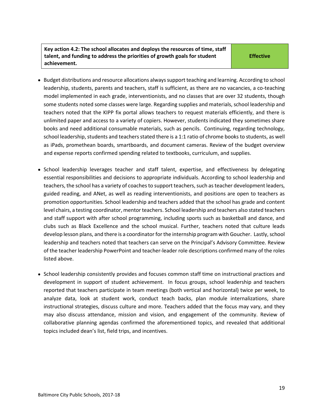#### **Key action 4.2: The school allocates and deploys the resources of time, staff talent, and funding to address the priorities of growth goals for student achievement.**

**Effective**

- Budget distributions and resource allocations always support teaching and learning. According to school leadership, students, parents and teachers, staff is sufficient, as there are no vacancies, a co-teaching model implemented in each grade, interventionists, and no classes that are over 32 students, though some students noted some classes were large. Regarding supplies and materials, school leadership and teachers noted that the KIPP fix portal allows teachers to request materials efficiently, and there is unlimited paper and access to a variety of copiers. However, students indicated they sometimes share books and need additional consumable materials, such as pencils. Continuing, regarding technology, school leadership, students and teachers stated there is a 1:1 ratio of chrome books to students, as well as iPads, promethean boards, smartboards, and document cameras. Review of the budget overview and expense reports confirmed spending related to textbooks, curriculum, and supplies.
- School leadership leverages teacher and staff talent, expertise, and effectiveness by delegating essential responsibilities and decisions to appropriate individuals. According to school leadership and teachers, the school has a variety of coaches to support teachers, such as teacher development leaders, guided reading, and ANet, as well as reading interventionists, and positions are open to teachers as promotion opportunities. School leadership and teachers added that the school has grade and content level chairs, a testing coordinator, mentor teachers. School leadership and teachers also stated teachers and staff support with after school programming, including sports such as basketball and dance, and clubs such as Black Excellence and the school musical. Further, teachers noted that culture leads develop lesson plans, and there is a coordinator for the internship program with Goucher. Lastly, school leadership and teachers noted that teachers can serve on the Principal's Advisory Committee. Review of the teacher leadership PowerPoint and teacher-leader role descriptions confirmed many of the roles listed above.
- School leadership consistently provides and focuses common staff time on instructional practices and development in support of student achievement. In focus groups, school leadership and teachers reported that teachers participate in team meetings (both vertical and horizontal) twice per week, to analyze data, look at student work, conduct teach backs, plan module internalizations, share instructional strategies, discuss culture and more. Teachers added that the focus may vary, and they may also discuss attendance, mission and vision, and engagement of the community. Review of collaborative planning agendas confirmed the aforementioned topics, and revealed that additional topics included dean's list, field trips, and incentives.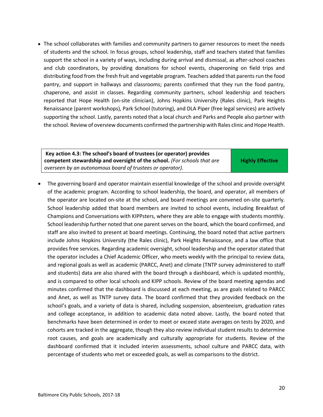• The school collaborates with families and community partners to garner resources to meet the needs of students and the school. In focus groups, school leadership, staff and teachers stated that families support the school in a variety of ways, including during arrival and dismissal, as after-school coaches and club coordinators, by providing donations for school events, chaperoning on field trips and distributing food from the fresh fruit and vegetable program. Teachers added that parents run the food pantry, and support in hallways and classrooms; parents confirmed that they run the food pantry, chaperone, and assist in classes. Regarding community partners, school leadership and teachers reported that Hope Health (on-site clinician), Johns Hopkins University (Rales clinic), Park Heights Renaissance (parent workshops), Park School (tutoring), and DLA Piper (free legal services) are actively supporting the school. Lastly, parents noted that a local church and Parks and People also partner with the school. Review of overview documents confirmed the partnership with Rales clinic and Hope Health.

**Key action 4.3: The school's board of trustees (or operator) provides competent stewardship and oversight of the school.** *(For schools that are overseen by an autonomous board of trustees or operator).* 

**Highly Effective**

 The governing board and operator maintain essential knowledge of the school and provide oversight of the academic program. According to school leadership, the board, and operator, all members of the operator are located on-site at the school, and board meetings are convened on-site quarterly. School leadership added that board members are invited to school events, including Breakfast of Champions and Conversations with KIPPsters, where they are able to engage with students monthly. School leadership further noted that one parent serves on the board, which the board confirmed, and staff are also invited to present at board meetings. Continuing, the board noted that active partners include Johns Hopkins University (the Rales clinic), Park Heights Renaissance, and a law office that provides free services. Regarding academic oversight, school leadership and the operator stated that the operator includes a Chief Academic Officer, who meets weekly with the principal to review data, and regional goals as well as academic (PARCC, Anet) and climate (TNTP survey administered to staff and students) data are also shared with the board through a dashboard, which is updated monthly, and is compared to other local schools and KIPP schools. Review of the board meeting agendas and minutes confirmed that the dashboard is discussed at each meeting, as are goals related to PARCC and Anet, as well as TNTP survey data. The board confirmed that they provided feedback on the school's goals, and a variety of data is shared, including suspension, absenteeism, graduation rates and college acceptance, in addition to academic data noted above. Lastly, the board noted that benchmarks have been determined in order to meet or exceed state averages on tests by 2020, and cohorts are tracked in the aggregate, though they also review individual student results to determine root causes, and goals are academically and culturally appropriate for students. Review of the dashboard confirmed that it included interim assessments, school culture and PARCC data, with percentage of students who met or exceeded goals, as well as comparisons to the district.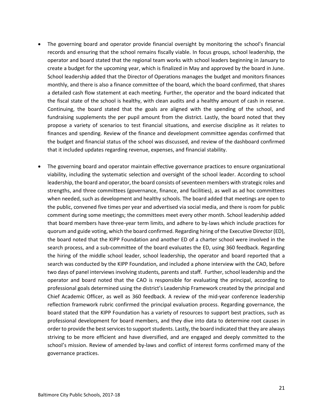- The governing board and operator provide financial oversight by monitoring the school's financial records and ensuring that the school remains fiscally viable. In focus groups, school leadership, the operator and board stated that the regional team works with school leaders beginning in January to create a budget for the upcoming year, which is finalized in May and approved by the board in June. School leadership added that the Director of Operations manages the budget and monitors finances monthly, and there is also a finance committee of the board, which the board confirmed, that shares a detailed cash flow statement at each meeting. Further, the operator and the board indicated that the fiscal state of the school is healthy, with clean audits and a healthy amount of cash in reserve. Continuing, the board stated that the goals are aligned with the spending of the school, and fundraising supplements the per pupil amount from the district. Lastly, the board noted that they propose a variety of scenarios to test financial situations, and exercise discipline as it relates to finances and spending. Review of the finance and development committee agendas confirmed that the budget and financial status of the school was discussed, and review of the dashboard confirmed that it included updates regarding revenue, expenses, and financial stability.
- The governing board and operator maintain effective governance practices to ensure organizational viability, including the systematic selection and oversight of the school leader. According to school leadership, the board and operator, the board consists of seventeen members with strategic roles and strengths, and three committees (governance, finance, and facilities), as well as ad hoc committees when needed, such as development and healthy schools. The board added that meetings are open to the public, convened five times per year and advertised via social media, and there is room for public comment during some meetings; the committees meet every other month. School leadership added that board members have three-year term limits, and adhere to by-laws which include practices for quorum and guide voting, which the board confirmed. Regarding hiring of the Executive Director (ED), the board noted that the KIPP Foundation and another ED of a charter school were involved in the search process, and a sub-committee of the board evaluates the ED, using 360 feedback. Regarding the hiring of the middle school leader, school leadership, the operator and board reported that a search was conducted by the KIPP Foundation, and included a phone interview with the CAO, before two days of panel interviews involving students, parents and staff. Further, school leadership and the operator and board noted that the CAO is responsible for evaluating the principal, according to professional goals determined using the district's Leadership Framework created by the principal and Chief Academic Officer, as well as 360 feedback. A review of the mid-year conference leadership reflection framework rubric confirmed the principal evaluation process. Regarding governance, the board stated that the KIPP Foundation has a variety of resources to support best practices, such as professional development for board members, and they dive into data to determine root causes in order to provide the best services to support students. Lastly, the board indicated that they are always striving to be more efficient and have diversified, and are engaged and deeply committed to the school's mission. Review of amended by-laws and conflict of interest forms confirmed many of the governance practices.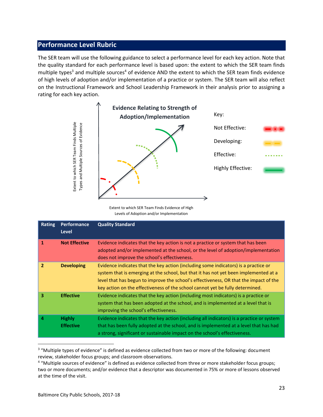## <span id="page-22-0"></span>**Performance Level Rubric**

The SER team will use the following guidance to select a performance level for each key action. Note that the quality standard for each performance level is based upon: the extent to which the SER team finds multiple types<sup>3</sup> and multiple sources<sup>4</sup> of evidence AND the extent to which the SER team finds evidence of high levels of adoption and/or implementation of a practice or system. The SER team will also reflect on the Instructional Framework and School Leadership Framework in their analysis prior to assigning a rating for each key action.



Extent to which SER Team Finds Evidence of High Levels of Adoption and/or Implementation

|               | Extent to which SER Team Finds Multiple<br>Types and Multiple Sources of Evidence | Extent to which SER Team Finds Evidence of High<br>Levels of Adoption and/or Implementation                                                                                                                                                                                                                                                                                                                             | Not Effective:<br>Developing:<br>Effective:<br>Highly Effective: |  |
|---------------|-----------------------------------------------------------------------------------|-------------------------------------------------------------------------------------------------------------------------------------------------------------------------------------------------------------------------------------------------------------------------------------------------------------------------------------------------------------------------------------------------------------------------|------------------------------------------------------------------|--|
| <b>Rating</b> | <b>Performance</b><br><b>Level</b>                                                | <b>Quality Standard</b>                                                                                                                                                                                                                                                                                                                                                                                                 |                                                                  |  |
| $\mathbf{1}$  | <b>Not Effective</b>                                                              | Evidence indicates that the key action is not a practice or system that has been<br>adopted and/or implemented at the school, or the level of adoption/implementation<br>does not improve the school's effectiveness.                                                                                                                                                                                                   |                                                                  |  |
| $\mathbf{2}$  | <b>Developing</b>                                                                 | Evidence indicates that the key action (including some indicators) is a practice or<br>system that is emerging at the school, but that it has not yet been implemented at a<br>level that has begun to improve the school's effectiveness, OR that the impact of the<br>key action on the effectiveness of the school cannot yet be fully determined.                                                                   |                                                                  |  |
| 3             | <b>Effective</b>                                                                  | Evidence indicates that the key action (including most indicators) is a practice or<br>system that has been adopted at the school, and is implemented at a level that is<br>improving the school's effectiveness.                                                                                                                                                                                                       |                                                                  |  |
| 4             | <b>Highly</b><br><b>Effective</b>                                                 | Evidence indicates that the key action (including all indicators) is a practice or system<br>that has been fully adopted at the school, and is implemented at a level that has had<br>a strong, significant or sustainable impact on the school's effectiveness.                                                                                                                                                        |                                                                  |  |
|               | at the time of the visit.                                                         | <sup>3</sup> "Multiple types of evidence" is defined as evidence collected from two or more of the following: document<br>review, stakeholder focus groups; and classroom observations.<br>4 "Multiple sources of evidence" is defined as evidence collected from three or more stakeholder focus groups;<br>two or more documents; and/or evidence that a descriptor was documented in 75% or more of lessons observed |                                                                  |  |

<sup>&</sup>lt;sup>3</sup> "Multiple types of evidence" is defined as evidence collected from two or more of the following: document review, stakeholder focus groups; and classroom observations.

<sup>&</sup>lt;sup>4</sup> "Multiple sources of evidence" is defined as evidence collected from three or more stakeholder focus groups; two or more documents; and/or evidence that a descriptor was documented in 75% or more of lessons observed at the time of the visit.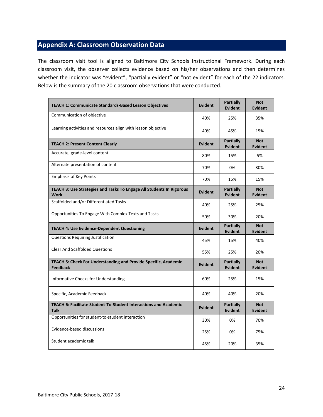# <span id="page-23-0"></span>**Appendix A: Classroom Observation Data**

The classroom visit tool is aligned to Baltimore City Schools Instructional Framework. During each classroom visit, the observer collects evidence based on his/her observations and then determines whether the indicator was "evident", "partially evident" or "not evident" for each of the 22 indicators. Below is the summary of the 20 classroom observations that were conducted.

| <b>TEACH 1: Communicate Standards-Based Lesson Objectives</b>                       | <b>Evident</b> | <b>Partially</b><br><b>Evident</b> | <b>Not</b><br><b>Evident</b> |
|-------------------------------------------------------------------------------------|----------------|------------------------------------|------------------------------|
| Communication of objective                                                          | 40%            | 25%                                | 35%                          |
| Learning activities and resources align with lesson objective                       | 40%            | 45%                                | 15%                          |
| <b>TEACH 2: Present Content Clearly</b>                                             | Evident        | Partially<br><b>Evident</b>        | <b>Not</b><br><b>Evident</b> |
| Accurate, grade-level content                                                       | 80%            | 15%                                | 5%                           |
| Alternate presentation of content                                                   | 70%            | 0%                                 | 30%                          |
| <b>Emphasis of Key Points</b>                                                       | 70%            | 15%                                | 15%                          |
| TEACH 3: Use Strategies and Tasks To Engage All Students In Rigorous<br><b>Work</b> | <b>Evident</b> | <b>Partially</b><br><b>Evident</b> | <b>Not</b><br><b>Evident</b> |
| Scaffolded and/or Differentiated Tasks                                              | 40%            | 25%                                | 25%                          |
| Opportunities To Engage With Complex Texts and Tasks                                | 50%            | 30%                                | 20%                          |
| <b>TEACH 4: Use Evidence-Dependent Questioning</b>                                  | Evident        | <b>Partially</b><br><b>Evident</b> | <b>Not</b><br><b>Evident</b> |
| <b>Questions Requiring Justification</b>                                            | 45%            | 15%                                | 40%                          |
| <b>Clear And Scaffolded Questions</b>                                               | 55%            | 25%                                | 20%                          |
| TEACH 5: Check For Understanding and Provide Specific, Academic<br><b>Feedback</b>  | <b>Evident</b> | <b>Partially</b><br><b>Evident</b> | <b>Not</b><br><b>Evident</b> |
| Informative Checks for Understanding                                                | 60%            | 25%                                | 15%                          |
| Specific, Academic Feedback                                                         | 40%            | 40%                                | 20%                          |
| TEACH 6: Facilitate Student-To-Student Interactions and Academic<br><b>Talk</b>     | Evident        | <b>Partially</b><br><b>Evident</b> | <b>Not</b><br><b>Evident</b> |
| Opportunities for student-to-student interaction                                    | 30%            | 0%                                 | 70%                          |
| Evidence-based discussions                                                          | 25%            | 0%                                 | 75%                          |
| Student academic talk                                                               | 45%            | 20%                                | 35%                          |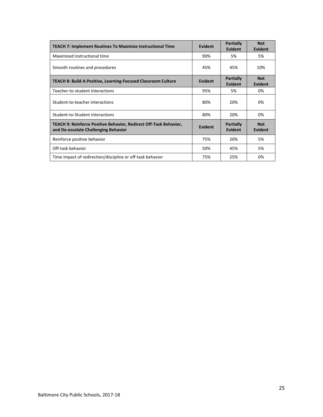| <b>TEACH 7: Implement Routines To Maximize Instructional Time</b>                                         | Evident | <b>Partially</b><br><b>Evident</b> | <b>Not</b><br><b>Evident</b> |
|-----------------------------------------------------------------------------------------------------------|---------|------------------------------------|------------------------------|
| Maximized instructional time                                                                              | 90%     | 5%                                 | 5%                           |
| Smooth routines and procedures                                                                            | 45%     | 45%                                | 10%                          |
| <b>TEACH 8: Build A Positive, Learning-Focused Classroom Culture</b>                                      | Evident | <b>Partially</b><br><b>Evident</b> | <b>Not</b><br>Evident        |
| Teacher-to-student interactions                                                                           | 95%     | 5%                                 | 0%                           |
| Student-to-teacher interactions                                                                           | 80%     | 20%                                | 0%                           |
| Student-to-Student interactions                                                                           | 80%     | 20%                                | 0%                           |
| TEACH 9: Reinforce Positive Behavior, Redirect Off-Task Behavior,<br>and De-escalate Challenging Behavior | Evident | <b>Partially</b><br>Evident        | <b>Not</b><br>Evident        |
| Reinforce positive behavior                                                                               | 75%     | 20%                                | 5%                           |
| Off-task behavior                                                                                         | 50%     | 45%                                | 5%                           |
| Time impact of redirection/discipline or off-task behavior                                                | 75%     | 25%                                | 0%                           |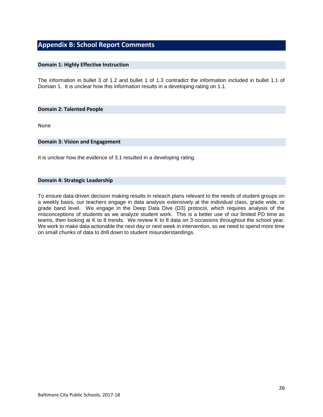## **Appendix B: School Report Comments**

#### **Domain 1: Highly Effective Instruction**

The information in bullet 3 of 1.2 and bullet 1 of 1.3 contradict the information included in bullet 1.1 of Domain 1. It is unclear how this information results in a developing rating on 1.1.

#### **Domain 2: Talented People**

None

#### **Domain 3: Vision and Engagement**

It is unclear how the evidence of 3.1 resulted in a developing rating.

#### **Domain 4: Strategic Leadership**

To ensure data-driven decision making results in reteach plans relevant to the needs of student groups on a weekly basis, our teachers engage in data analysis extensively at the individual class, grade wide, or grade band level. We engage in the Deep Data Dive (D3) protocol, which requires analysis of the misconceptions of students as we analyze student work. This is a better use of our limited PD time as teams, then looking at K to 8 trends. We review K to 8 data on 3 occasions throughout the school year. We work to make data actionable the next day or next week in intervention, so we need to spend more time on small chunks of data to drill down to student misunderstandings.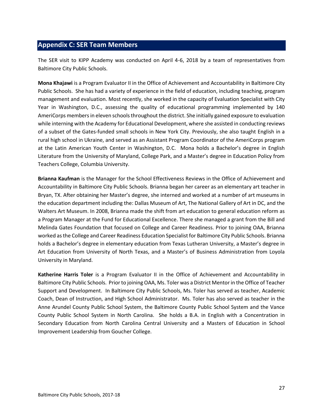## <span id="page-26-0"></span>**Appendix C: SER Team Members**

The SER visit to KIPP Academy was conducted on April 4-6, 2018 by a team of representatives from Baltimore City Public Schools.

**Mona Khajawi** is a Program Evaluator II in the Office of Achievement and Accountability in Baltimore City Public Schools. She has had a variety of experience in the field of education, including teaching, program management and evaluation. Most recently, she worked in the capacity of Evaluation Specialist with City Year in Washington, D.C., assessing the quality of educational programming implemented by 140 AmeriCorps members in eleven schools throughout the district. She initially gained exposure to evaluation while interning with the Academy for Educational Development, where she assisted in conducting reviews of a subset of the Gates-funded small schools in New York City. Previously, she also taught English in a rural high school in Ukraine, and served as an Assistant Program Coordinator of the AmeriCorps program at the Latin American Youth Center in Washington, D.C. Mona holds a Bachelor's degree in English Literature from the University of Maryland, College Park, and a Master's degree in Education Policy from Teachers College, Columbia University.

**Brianna Kaufman** is the Manager for the School Effectiveness Reviews in the Office of Achievement and Accountability in Baltimore City Public Schools. Brianna began her career as an elementary art teacher in Bryan, TX. After obtaining her Master's degree, she interned and worked at a number of art museums in the education department including the: Dallas Museum of Art, The National Gallery of Art in DC, and the Walters Art Museum. In 2008, Brianna made the shift from art education to general education reform as a Program Manager at the Fund for Educational Excellence. There she managed a grant from the Bill and Melinda Gates Foundation that focused on College and Career Readiness. Prior to joining OAA, Brianna worked as the College and Career Readiness Education Specialist for Baltimore City Public Schools. Brianna holds a Bachelor's degree in elementary education from Texas Lutheran University, a Master's degree in Art Education from University of North Texas, and a Master's of Business Administration from Loyola University in Maryland.

**Katherine Harris Toler** is a Program Evaluator II in the Office of Achievement and Accountability in Baltimore City Public Schools. Prior to joining OAA, Ms. Toler was a District Mentor in the Office of Teacher Support and Development. In Baltimore City Public Schools, Ms. Toler has served as teacher, Academic Coach, Dean of Instruction, and High School Administrator. Ms. Toler has also served as teacher in the Anne Arundel County Public School System, the Baltimore County Public School System and the Vance County Public School System in North Carolina. She holds a B.A. in English with a Concentration in Secondary Education from North Carolina Central University and a Masters of Education in School Improvement Leadership from Goucher College.